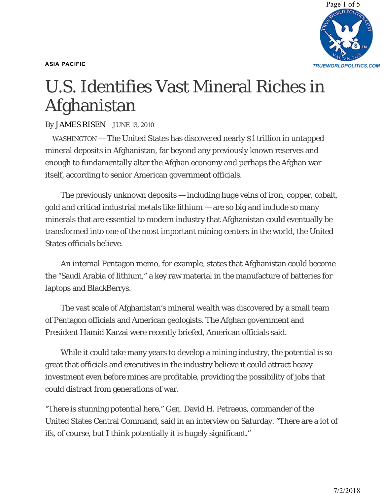**ASIA PACIFIC**



## [U.S. Identifies Vast Mineral Riches in](https://www.nytimes.com/2010/06/14/world/asia/14minerals.html?_r=0)  Afghanistan

## By JAMES RISEN JUNE 13, 2010

WASHINGTON — The United States has discovered nearly \$1 trillion in untapped mineral deposits in Afghanistan, far beyond any previously known reserves and enough to fundamentally alter the Afghan economy and perhaps the Afghan war itself, according to senior American government officials.

The previously unknown deposits — including huge veins of iron, copper, cobalt, gold and critical industrial metals like lithium — are so big and include so many minerals that are essential to modern industry that Afghanistan could eventually be transformed into one of the most important mining centers in the world, the United States officials believe.

An internal Pentagon memo, for example, states that Afghanistan could become the "Saudi Arabia of lithium," a key raw material in the manufacture of batteries for laptops and BlackBerrys.

The vast scale of Afghanistan's mineral wealth was discovered by a small team of Pentagon officials and American geologists. The Afghan government and President Hamid Karzai were recently briefed, American officials said.

While it could take many years to develop a mining industry, the potential is so great that officials and executives in the industry believe it could attract heavy investment even before mines are profitable, providing the possibility of jobs that could distract from generations of war.

"There is stunning potential here," Gen. David H. Petraeus, commander of the United States Central Command, said in an interview on Saturday. "There are a lot of ifs, of course, but I think potentially it is hugely significant."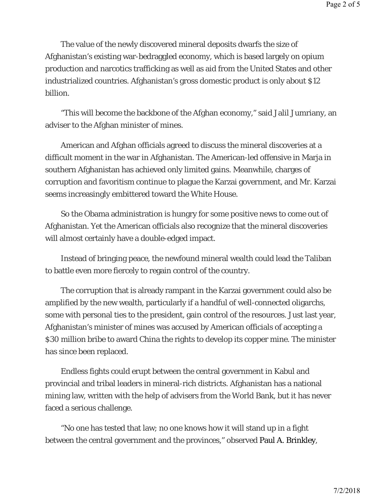The value of the newly discovered mineral deposits dwarfs the size of Afghanistan's existing war-bedraggled economy, which is based largely on opium production and narcotics trafficking as well as aid from the United States and other industrialized countries. Afghanistan's gross domestic product is only about \$12 billion.

"This will become the backbone of the Afghan economy," said Jalil Jumriany, an adviser to the Afghan minister of mines.

American and Afghan officials agreed to discuss the mineral discoveries at a difficult moment in the war in Afghanistan. The American-led offensive in Marja in southern Afghanistan has achieved only limited gains. Meanwhile, charges of corruption and favoritism continue to plague the Karzai government, and Mr. Karzai seems increasingly embittered toward the White House.

So the Obama administration is hungry for some positive news to come out of Afghanistan. Yet the American officials also recognize that the mineral discoveries will almost certainly have a double-edged impact.

Instead of bringing peace, the newfound mineral wealth could lead the Taliban to battle even more fiercely to regain control of the country.

The corruption that is already rampant in the Karzai government could also be amplified by the new wealth, particularly if a handful of well-connected oligarchs, some with personal ties to the president, gain control of the resources. Just last year, Afghanistan's minister of mines was accused by American officials of accepting a \$30 million bribe to award China the rights to develop its copper mine. The minister has since been replaced.

Endless fights could erupt between the central government in Kabul and provincial and tribal leaders in mineral-rich districts. Afghanistan has a national mining law, written with the help of advisers from the World Bank, but it has never faced a serious challenge.

"No one has tested that law; no one knows how it will stand up in a fight between the central government and the provinces," observed Paul A. Brinkley,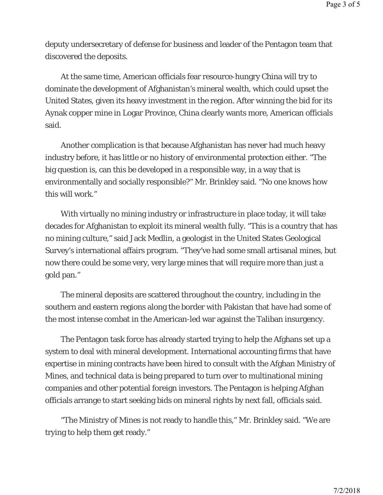deputy undersecretary of defense for business and leader of the Pentagon team that discovered the deposits.

At the same time, American officials fear resource-hungry China will try to dominate the development of Afghanistan's mineral wealth, which could upset the United States, given its heavy investment in the region. After winning the bid for its Aynak copper mine in Logar Province, China clearly wants more, American officials said.

Another complication is that because Afghanistan has never had much heavy industry before, it has little or no history of environmental protection either. "The big question is, can this be developed in a responsible way, in a way that is environmentally and socially responsible?" Mr. Brinkley said. "No one knows how this will work."

With virtually no mining industry or infrastructure in place today, it will take decades for Afghanistan to exploit its mineral wealth fully. "This is a country that has no mining culture," said Jack Medlin, a geologist in the United States Geological Survey's international affairs program. "They've had some small artisanal mines, but now there could be some very, very large mines that will require more than just a gold pan."

The mineral deposits are scattered throughout the country, including in the southern and eastern regions along the border with Pakistan that have had some of the most intense combat in the American-led war against the Taliban insurgency.

The Pentagon task force has already started trying to help the Afghans set up a system to deal with mineral development. International accounting firms that have expertise in mining contracts have been hired to consult with the Afghan Ministry of Mines, and technical data is being prepared to turn over to multinational mining companies and other potential foreign investors. The Pentagon is helping Afghan officials arrange to start seeking bids on mineral rights by next fall, officials said.

"The Ministry of Mines is not ready to handle this," Mr. Brinkley said. "We are trying to help them get ready."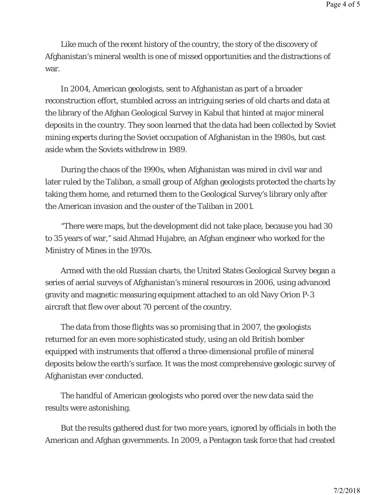Like much of the recent history of the country, the story of the discovery of Afghanistan's mineral wealth is one of missed opportunities and the distractions of war.

In 2004, American geologists, sent to Afghanistan as part of a broader reconstruction effort, stumbled across an intriguing series of old charts and data at the library of the Afghan Geological Survey in Kabul that hinted at major mineral deposits in the country. They soon learned that the data had been collected by Soviet mining experts during the Soviet occupation of Afghanistan in the 1980s, but cast aside when the Soviets withdrew in 1989.

During the chaos of the 1990s, when Afghanistan was mired in civil war and later ruled by the Taliban, a small group of Afghan geologists protected the charts by taking them home, and returned them to the Geological Survey's library only after the American invasion and the ouster of the Taliban in 2001.

"There were maps, but the development did not take place, because you had 30 to 35 years of war," said Ahmad Hujabre, an Afghan engineer who worked for the Ministry of Mines in the 1970s.

Armed with the old Russian charts, the United States Geological Survey began a series of aerial surveys of Afghanistan's mineral resources in 2006, using advanced gravity and magnetic measuring equipment attached to an old Navy Orion P-3 aircraft that flew over about 70 percent of the country.

The data from those flights was so promising that in 2007, the geologists returned for an even more sophisticated study, using an old British bomber equipped with instruments that offered a three-dimensional profile of mineral deposits below the earth's surface. It was the most comprehensive geologic survey of Afghanistan ever conducted.

The handful of American geologists who pored over the new data said the results were astonishing.

But the results gathered dust for two more years, ignored by officials in both the American and Afghan governments. In 2009, a Pentagon task force that had created